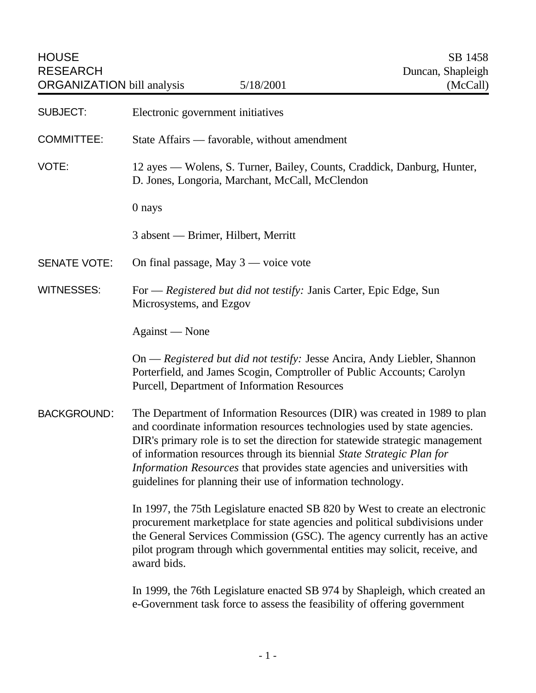| <b>HOUSE</b><br><b>RESEARCH</b><br><b>ORGANIZATION</b> bill analysis |                                                                                                                                                                                                                                                                                                                                                                                                                                                               | 5/18/2001 | SB 1458<br>Duncan, Shapleigh<br>(McCall)                                    |
|----------------------------------------------------------------------|---------------------------------------------------------------------------------------------------------------------------------------------------------------------------------------------------------------------------------------------------------------------------------------------------------------------------------------------------------------------------------------------------------------------------------------------------------------|-----------|-----------------------------------------------------------------------------|
| <b>SUBJECT:</b>                                                      | Electronic government initiatives                                                                                                                                                                                                                                                                                                                                                                                                                             |           |                                                                             |
| <b>COMMITTEE:</b>                                                    | State Affairs — favorable, without amendment                                                                                                                                                                                                                                                                                                                                                                                                                  |           |                                                                             |
| VOTE:                                                                | 12 ayes — Wolens, S. Turner, Bailey, Counts, Craddick, Danburg, Hunter,<br>D. Jones, Longoria, Marchant, McCall, McClendon                                                                                                                                                                                                                                                                                                                                    |           |                                                                             |
|                                                                      | 0 nays                                                                                                                                                                                                                                                                                                                                                                                                                                                        |           |                                                                             |
|                                                                      | 3 absent — Brimer, Hilbert, Merritt                                                                                                                                                                                                                                                                                                                                                                                                                           |           |                                                                             |
| <b>SENATE VOTE:</b>                                                  | On final passage, May $3$ — voice vote                                                                                                                                                                                                                                                                                                                                                                                                                        |           |                                                                             |
| <b>WITNESSES:</b>                                                    | For — Registered but did not testify: Janis Carter, Epic Edge, Sun<br>Microsystems, and Ezgov                                                                                                                                                                                                                                                                                                                                                                 |           |                                                                             |
|                                                                      | Against — None                                                                                                                                                                                                                                                                                                                                                                                                                                                |           |                                                                             |
|                                                                      | On — Registered but did not testify: Jesse Ancira, Andy Liebler, Shannon<br>Porterfield, and James Scogin, Comptroller of Public Accounts; Carolyn<br>Purcell, Department of Information Resources                                                                                                                                                                                                                                                            |           |                                                                             |
| <b>BACKGROUND:</b>                                                   | The Department of Information Resources (DIR) was created in 1989 to plan<br>and coordinate information resources technologies used by state agencies.<br>DIR's primary role is to set the direction for statewide strategic management<br>of information resources through its biennial State Strategic Plan for<br>Information Resources that provides state agencies and universities with<br>guidelines for planning their use of information technology. |           |                                                                             |
|                                                                      | In 1997, the 75th Legislature enacted SB 820 by West to create an electronic<br>procurement marketplace for state agencies and political subdivisions under<br>the General Services Commission (GSC). The agency currently has an active<br>pilot program through which governmental entities may solicit, receive, and<br>award bids.                                                                                                                        |           |                                                                             |
|                                                                      |                                                                                                                                                                                                                                                                                                                                                                                                                                                               |           | In 1999, the 76th Legislature enacted SB 974 by Shapleigh, which created an |

e-Government task force to assess the feasibility of offering government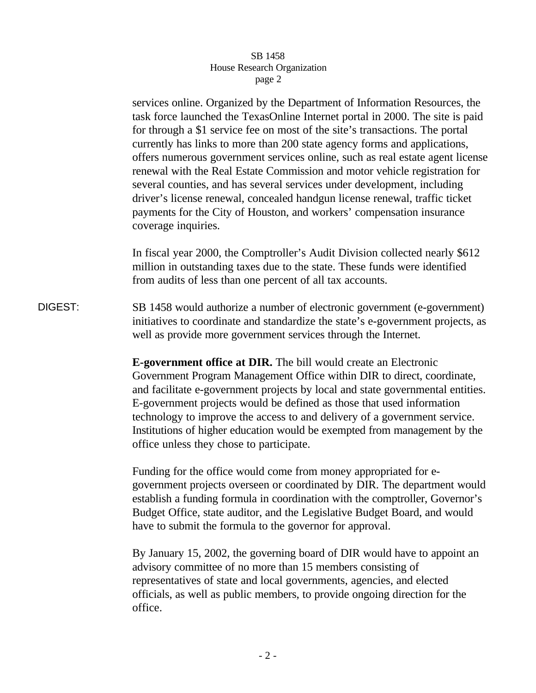services online. Organized by the Department of Information Resources, the task force launched the TexasOnline Internet portal in 2000. The site is paid for through a \$1 service fee on most of the site's transactions. The portal currently has links to more than 200 state agency forms and applications, offers numerous government services online, such as real estate agent license renewal with the Real Estate Commission and motor vehicle registration for several counties, and has several services under development, including driver's license renewal, concealed handgun license renewal, traffic ticket payments for the City of Houston, and workers' compensation insurance coverage inquiries.

In fiscal year 2000, the Comptroller's Audit Division collected nearly \$612 million in outstanding taxes due to the state. These funds were identified from audits of less than one percent of all tax accounts.

DIGEST: SB 1458 would authorize a number of electronic government (e-government) initiatives to coordinate and standardize the state's e-government projects, as well as provide more government services through the Internet.

> **E-government office at DIR.** The bill would create an Electronic Government Program Management Office within DIR to direct, coordinate, and facilitate e-government projects by local and state governmental entities. E-government projects would be defined as those that used information technology to improve the access to and delivery of a government service. Institutions of higher education would be exempted from management by the office unless they chose to participate.

> Funding for the office would come from money appropriated for egovernment projects overseen or coordinated by DIR. The department would establish a funding formula in coordination with the comptroller, Governor's Budget Office, state auditor, and the Legislative Budget Board, and would have to submit the formula to the governor for approval.

By January 15, 2002, the governing board of DIR would have to appoint an advisory committee of no more than 15 members consisting of representatives of state and local governments, agencies, and elected officials, as well as public members, to provide ongoing direction for the office.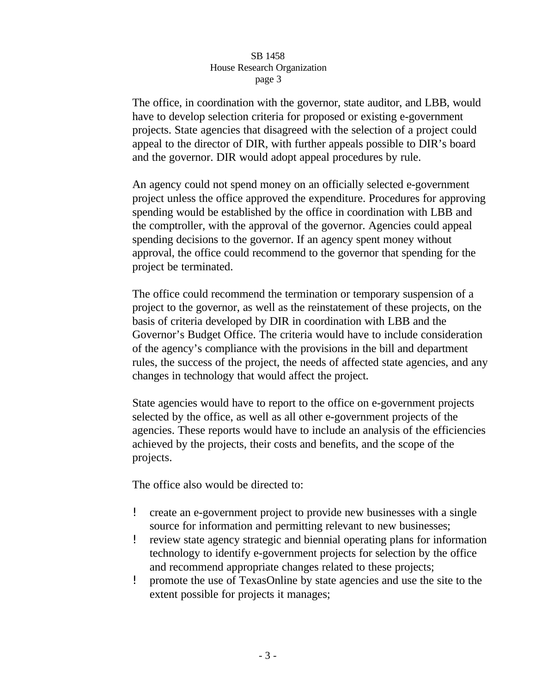The office, in coordination with the governor, state auditor, and LBB, would have to develop selection criteria for proposed or existing e-government projects. State agencies that disagreed with the selection of a project could appeal to the director of DIR, with further appeals possible to DIR's board and the governor. DIR would adopt appeal procedures by rule.

An agency could not spend money on an officially selected e-government project unless the office approved the expenditure. Procedures for approving spending would be established by the office in coordination with LBB and the comptroller, with the approval of the governor. Agencies could appeal spending decisions to the governor. If an agency spent money without approval, the office could recommend to the governor that spending for the project be terminated.

The office could recommend the termination or temporary suspension of a project to the governor, as well as the reinstatement of these projects, on the basis of criteria developed by DIR in coordination with LBB and the Governor's Budget Office. The criteria would have to include consideration of the agency's compliance with the provisions in the bill and department rules, the success of the project, the needs of affected state agencies, and any changes in technology that would affect the project.

State agencies would have to report to the office on e-government projects selected by the office, as well as all other e-government projects of the agencies. These reports would have to include an analysis of the efficiencies achieved by the projects, their costs and benefits, and the scope of the projects.

The office also would be directed to:

- ! create an e-government project to provide new businesses with a single source for information and permitting relevant to new businesses;
- ! review state agency strategic and biennial operating plans for information technology to identify e-government projects for selection by the office and recommend appropriate changes related to these projects;
- ! promote the use of TexasOnline by state agencies and use the site to the extent possible for projects it manages;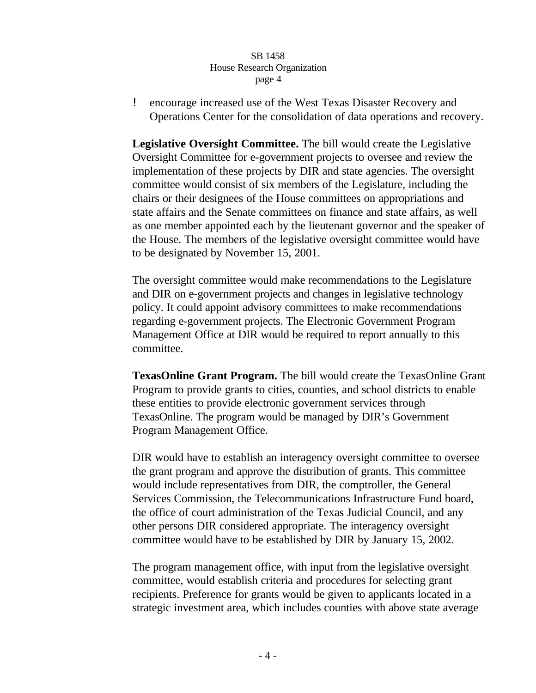! encourage increased use of the West Texas Disaster Recovery and Operations Center for the consolidation of data operations and recovery.

**Legislative Oversight Committee.** The bill would create the Legislative Oversight Committee for e-government projects to oversee and review the implementation of these projects by DIR and state agencies. The oversight committee would consist of six members of the Legislature, including the chairs or their designees of the House committees on appropriations and state affairs and the Senate committees on finance and state affairs, as well as one member appointed each by the lieutenant governor and the speaker of the House. The members of the legislative oversight committee would have to be designated by November 15, 2001.

The oversight committee would make recommendations to the Legislature and DIR on e-government projects and changes in legislative technology policy. It could appoint advisory committees to make recommendations regarding e-government projects. The Electronic Government Program Management Office at DIR would be required to report annually to this committee.

**TexasOnline Grant Program.** The bill would create the TexasOnline Grant Program to provide grants to cities, counties, and school districts to enable these entities to provide electronic government services through TexasOnline. The program would be managed by DIR's Government Program Management Office.

DIR would have to establish an interagency oversight committee to oversee the grant program and approve the distribution of grants. This committee would include representatives from DIR, the comptroller, the General Services Commission, the Telecommunications Infrastructure Fund board, the office of court administration of the Texas Judicial Council, and any other persons DIR considered appropriate. The interagency oversight committee would have to be established by DIR by January 15, 2002.

The program management office, with input from the legislative oversight committee, would establish criteria and procedures for selecting grant recipients. Preference for grants would be given to applicants located in a strategic investment area, which includes counties with above state average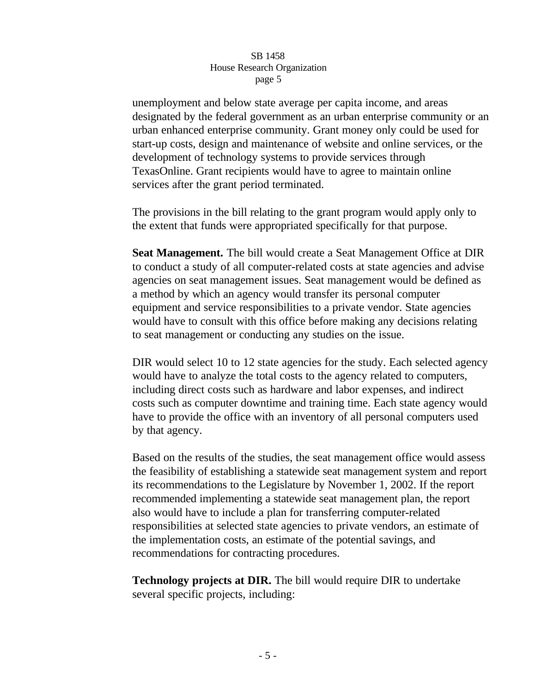unemployment and below state average per capita income, and areas designated by the federal government as an urban enterprise community or an urban enhanced enterprise community. Grant money only could be used for start-up costs, design and maintenance of website and online services, or the development of technology systems to provide services through TexasOnline. Grant recipients would have to agree to maintain online services after the grant period terminated.

The provisions in the bill relating to the grant program would apply only to the extent that funds were appropriated specifically for that purpose.

**Seat Management.** The bill would create a Seat Management Office at DIR to conduct a study of all computer-related costs at state agencies and advise agencies on seat management issues. Seat management would be defined as a method by which an agency would transfer its personal computer equipment and service responsibilities to a private vendor. State agencies would have to consult with this office before making any decisions relating to seat management or conducting any studies on the issue.

DIR would select 10 to 12 state agencies for the study. Each selected agency would have to analyze the total costs to the agency related to computers, including direct costs such as hardware and labor expenses, and indirect costs such as computer downtime and training time. Each state agency would have to provide the office with an inventory of all personal computers used by that agency.

Based on the results of the studies, the seat management office would assess the feasibility of establishing a statewide seat management system and report its recommendations to the Legislature by November 1, 2002. If the report recommended implementing a statewide seat management plan, the report also would have to include a plan for transferring computer-related responsibilities at selected state agencies to private vendors, an estimate of the implementation costs, an estimate of the potential savings, and recommendations for contracting procedures.

**Technology projects at DIR.** The bill would require DIR to undertake several specific projects, including: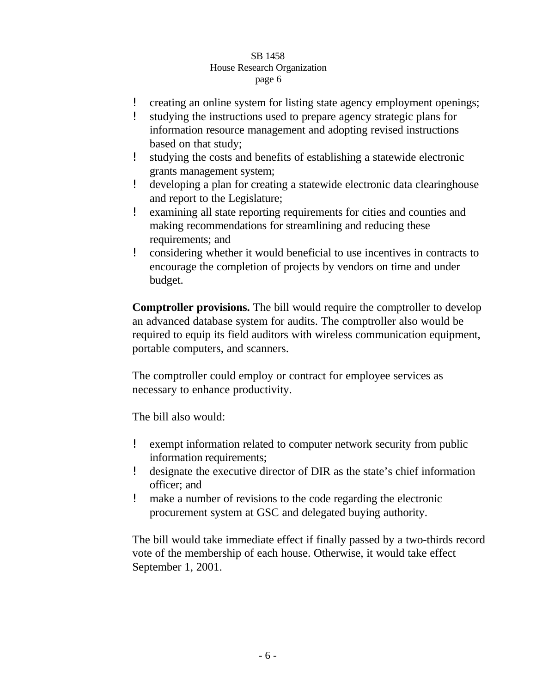- ! creating an online system for listing state agency employment openings;
- studying the instructions used to prepare agency strategic plans for information resource management and adopting revised instructions based on that study;
- ! studying the costs and benefits of establishing a statewide electronic grants management system;
- ! developing a plan for creating a statewide electronic data clearinghouse and report to the Legislature;
- ! examining all state reporting requirements for cities and counties and making recommendations for streamlining and reducing these requirements; and
- ! considering whether it would beneficial to use incentives in contracts to encourage the completion of projects by vendors on time and under budget.

**Comptroller provisions.** The bill would require the comptroller to develop an advanced database system for audits. The comptroller also would be required to equip its field auditors with wireless communication equipment, portable computers, and scanners.

The comptroller could employ or contract for employee services as necessary to enhance productivity.

The bill also would:

- ! exempt information related to computer network security from public information requirements;
- ! designate the executive director of DIR as the state's chief information officer; and
- ! make a number of revisions to the code regarding the electronic procurement system at GSC and delegated buying authority.

The bill would take immediate effect if finally passed by a two-thirds record vote of the membership of each house. Otherwise, it would take effect September 1, 2001.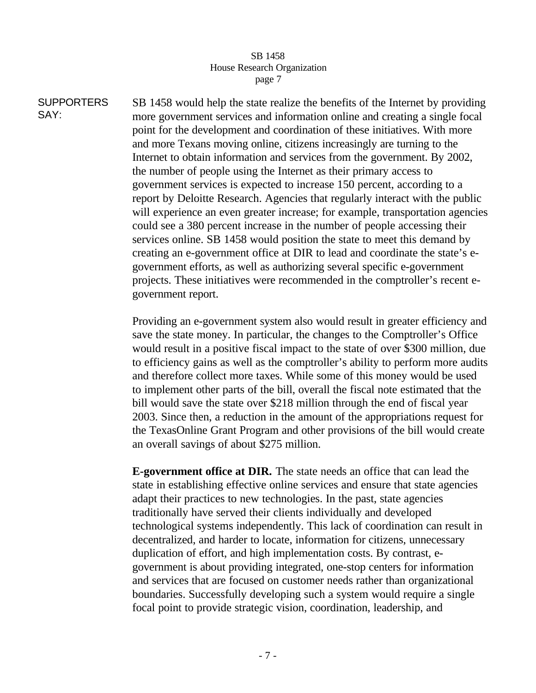**SUPPORTERS** SAY: SB 1458 would help the state realize the benefits of the Internet by providing more government services and information online and creating a single focal point for the development and coordination of these initiatives. With more and more Texans moving online, citizens increasingly are turning to the Internet to obtain information and services from the government. By 2002, the number of people using the Internet as their primary access to government services is expected to increase 150 percent, according to a report by Deloitte Research. Agencies that regularly interact with the public will experience an even greater increase; for example, transportation agencies could see a 380 percent increase in the number of people accessing their services online. SB 1458 would position the state to meet this demand by creating an e-government office at DIR to lead and coordinate the state's egovernment efforts, as well as authorizing several specific e-government projects. These initiatives were recommended in the comptroller's recent egovernment report.

> Providing an e-government system also would result in greater efficiency and save the state money. In particular, the changes to the Comptroller's Office would result in a positive fiscal impact to the state of over \$300 million, due to efficiency gains as well as the comptroller's ability to perform more audits and therefore collect more taxes. While some of this money would be used to implement other parts of the bill, overall the fiscal note estimated that the bill would save the state over \$218 million through the end of fiscal year 2003. Since then, a reduction in the amount of the appropriations request for the TexasOnline Grant Program and other provisions of the bill would create an overall savings of about \$275 million.

**E-government office at DIR.** The state needs an office that can lead the state in establishing effective online services and ensure that state agencies adapt their practices to new technologies. In the past, state agencies traditionally have served their clients individually and developed technological systems independently. This lack of coordination can result in decentralized, and harder to locate, information for citizens, unnecessary duplication of effort, and high implementation costs. By contrast, egovernment is about providing integrated, one-stop centers for information and services that are focused on customer needs rather than organizational boundaries. Successfully developing such a system would require a single focal point to provide strategic vision, coordination, leadership, and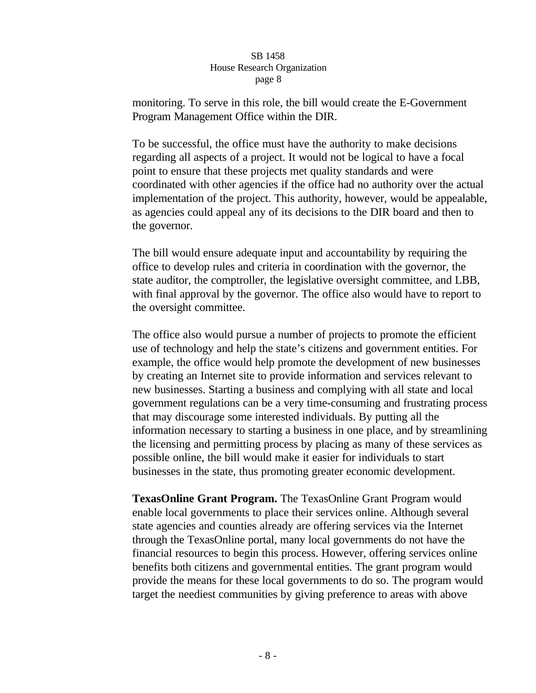monitoring. To serve in this role, the bill would create the E-Government Program Management Office within the DIR.

To be successful, the office must have the authority to make decisions regarding all aspects of a project. It would not be logical to have a focal point to ensure that these projects met quality standards and were coordinated with other agencies if the office had no authority over the actual implementation of the project. This authority, however, would be appealable, as agencies could appeal any of its decisions to the DIR board and then to the governor.

The bill would ensure adequate input and accountability by requiring the office to develop rules and criteria in coordination with the governor, the state auditor, the comptroller, the legislative oversight committee, and LBB, with final approval by the governor. The office also would have to report to the oversight committee.

The office also would pursue a number of projects to promote the efficient use of technology and help the state's citizens and government entities. For example, the office would help promote the development of new businesses by creating an Internet site to provide information and services relevant to new businesses. Starting a business and complying with all state and local government regulations can be a very time-consuming and frustrating process that may discourage some interested individuals. By putting all the information necessary to starting a business in one place, and by streamlining the licensing and permitting process by placing as many of these services as possible online, the bill would make it easier for individuals to start businesses in the state, thus promoting greater economic development.

**TexasOnline Grant Program.** The TexasOnline Grant Program would enable local governments to place their services online. Although several state agencies and counties already are offering services via the Internet through the TexasOnline portal, many local governments do not have the financial resources to begin this process. However, offering services online benefits both citizens and governmental entities. The grant program would provide the means for these local governments to do so. The program would target the neediest communities by giving preference to areas with above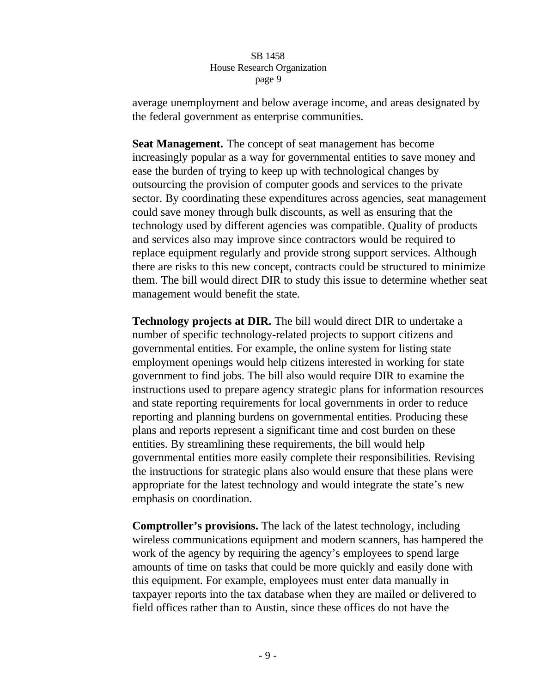average unemployment and below average income, and areas designated by the federal government as enterprise communities.

**Seat Management.** The concept of seat management has become increasingly popular as a way for governmental entities to save money and ease the burden of trying to keep up with technological changes by outsourcing the provision of computer goods and services to the private sector. By coordinating these expenditures across agencies, seat management could save money through bulk discounts, as well as ensuring that the technology used by different agencies was compatible. Quality of products and services also may improve since contractors would be required to replace equipment regularly and provide strong support services. Although there are risks to this new concept, contracts could be structured to minimize them. The bill would direct DIR to study this issue to determine whether seat management would benefit the state.

**Technology projects at DIR.** The bill would direct DIR to undertake a number of specific technology-related projects to support citizens and governmental entities. For example, the online system for listing state employment openings would help citizens interested in working for state government to find jobs. The bill also would require DIR to examine the instructions used to prepare agency strategic plans for information resources and state reporting requirements for local governments in order to reduce reporting and planning burdens on governmental entities. Producing these plans and reports represent a significant time and cost burden on these entities. By streamlining these requirements, the bill would help governmental entities more easily complete their responsibilities. Revising the instructions for strategic plans also would ensure that these plans were appropriate for the latest technology and would integrate the state's new emphasis on coordination.

**Comptroller's provisions.** The lack of the latest technology, including wireless communications equipment and modern scanners, has hampered the work of the agency by requiring the agency's employees to spend large amounts of time on tasks that could be more quickly and easily done with this equipment. For example, employees must enter data manually in taxpayer reports into the tax database when they are mailed or delivered to field offices rather than to Austin, since these offices do not have the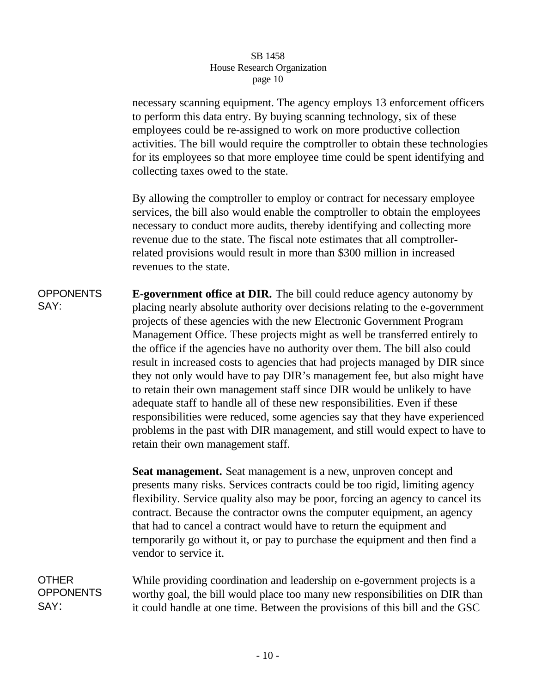necessary scanning equipment. The agency employs 13 enforcement officers to perform this data entry. By buying scanning technology, six of these employees could be re-assigned to work on more productive collection activities. The bill would require the comptroller to obtain these technologies for its employees so that more employee time could be spent identifying and collecting taxes owed to the state.

By allowing the comptroller to employ or contract for necessary employee services, the bill also would enable the comptroller to obtain the employees necessary to conduct more audits, thereby identifying and collecting more revenue due to the state. The fiscal note estimates that all comptrollerrelated provisions would result in more than \$300 million in increased revenues to the state.

**OPPONENTS** SAY: **E-government office at DIR.** The bill could reduce agency autonomy by placing nearly absolute authority over decisions relating to the e-government projects of these agencies with the new Electronic Government Program Management Office. These projects might as well be transferred entirely to the office if the agencies have no authority over them. The bill also could result in increased costs to agencies that had projects managed by DIR since they not only would have to pay DIR's management fee, but also might have to retain their own management staff since DIR would be unlikely to have adequate staff to handle all of these new responsibilities. Even if these responsibilities were reduced, some agencies say that they have experienced problems in the past with DIR management, and still would expect to have to retain their own management staff.

> **Seat management.** Seat management is a new, unproven concept and presents many risks. Services contracts could be too rigid, limiting agency flexibility. Service quality also may be poor, forcing an agency to cancel its contract. Because the contractor owns the computer equipment, an agency that had to cancel a contract would have to return the equipment and temporarily go without it, or pay to purchase the equipment and then find a vendor to service it.

**OTHER OPPONENTS** SAY: While providing coordination and leadership on e-government projects is a worthy goal, the bill would place too many new responsibilities on DIR than it could handle at one time. Between the provisions of this bill and the GSC